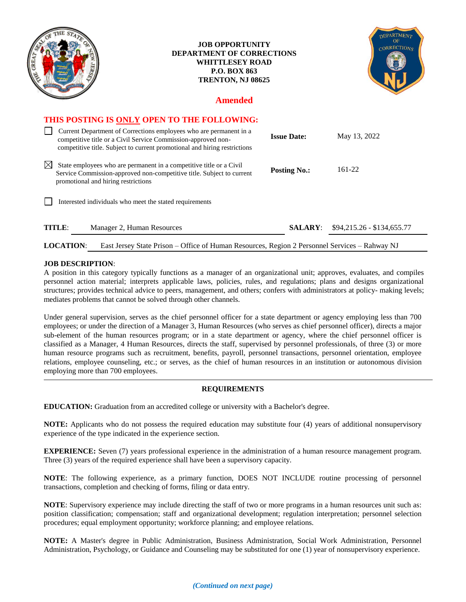| e                                                                                                                                                                                                                | <b>JOB OPPORTUNITY</b><br><b>DEPARTMENT OF CORRECTIONS</b><br><b>WHITTLESEY ROAD</b><br><b>P.O. BOX 863</b><br>TRENTON, NJ 08625 |                     | <b>DEPARTMENT</b><br>CORRECTIONS |
|------------------------------------------------------------------------------------------------------------------------------------------------------------------------------------------------------------------|----------------------------------------------------------------------------------------------------------------------------------|---------------------|----------------------------------|
| <b>Amended</b>                                                                                                                                                                                                   |                                                                                                                                  |                     |                                  |
| THIS POSTING IS ONLY OPEN TO THE FOLLOWING:                                                                                                                                                                      |                                                                                                                                  |                     |                                  |
| Current Department of Corrections employees who are permanent in a<br>competitive title or a Civil Service Commission-approved non-<br>competitive title. Subject to current promotional and hiring restrictions |                                                                                                                                  | <b>Issue Date:</b>  | May 13, 2022                     |
| $\boxtimes$<br>State employees who are permanent in a competitive title or a Civil<br>Service Commission-approved non-competitive title. Subject to current<br>promotional and hiring restrictions               |                                                                                                                                  | <b>Posting No.:</b> | $161 - 22$                       |
| Interested individuals who meet the stated requirements                                                                                                                                                          |                                                                                                                                  |                     |                                  |
| <b>TITLE:</b><br>Manager 2, Human Resources                                                                                                                                                                      |                                                                                                                                  | <b>SALARY:</b>      | $$94,215.26 - $134,655.77$       |

## **LOCATION**: East Jersey State Prison – Office of Human Resources, Region 2 Personnel Services – Rahway NJ

## **JOB DESCRIPTION**:

A position in this category typically functions as a manager of an organizational unit; approves, evaluates, and compiles personnel action material; interprets applicable laws, policies, rules, and regulations; plans and designs organizational structures; provides technical advice to peers, management, and others; confers with administrators at policy- making levels; mediates problems that cannot be solved through other channels.

Under general supervision, serves as the chief personnel officer for a state department or agency employing less than 700 employees; or under the direction of a Manager 3, Human Resources (who serves as chief personnel officer), directs a major sub-element of the human resources program; or in a state department or agency, where the chief personnel officer is classified as a Manager, 4 Human Resources, directs the staff, supervised by personnel professionals, of three (3) or more human resource programs such as recruitment, benefits, payroll, personnel transactions, personnel orientation, employee relations, employee counseling, etc.; or serves, as the chief of human resources in an institution or autonomous division employing more than 700 employees.

## **REQUIREMENTS**

**EDUCATION:** Graduation from an accredited college or university with a Bachelor's degree.

**NOTE:** Applicants who do not possess the required education may substitute four (4) years of additional nonsupervisory experience of the type indicated in the experience section.

**EXPERIENCE:** Seven (7) years professional experience in the administration of a human resource management program. Three (3) years of the required experience shall have been a supervisory capacity.

**NOTE**: The following experience, as a primary function, DOES NOT INCLUDE routine processing of personnel transactions, completion and checking of forms, filing or data entry.

**NOTE**: Supervisory experience may include directing the staff of two or more programs in a human resources unit such as: position classification; compensation; staff and organizational development; regulation interpretation; personnel selection procedures; equal employment opportunity; workforce planning; and employee relations.

**NOTE:** A Master's degree in Public Administration, Business Administration, Social Work Administration, Personnel Administration, Psychology, or Guidance and Counseling may be substituted for one (1) year of nonsupervisory experience.